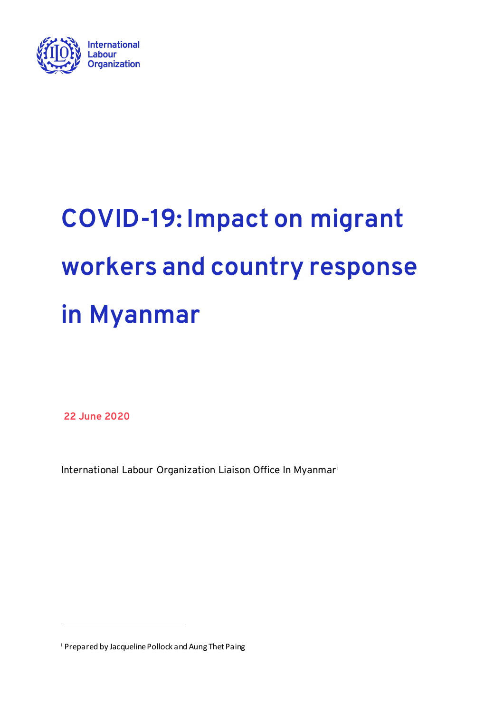

# **COVID-19: Impact on migrant workers and country response in Myanmar**

**22 June 2020** 

ĺ

International Labour Organization Liaison Office In Myanmar<sup>i</sup>

<sup>i</sup> Prepared by Jacqueline Pollock and Aung Thet Paing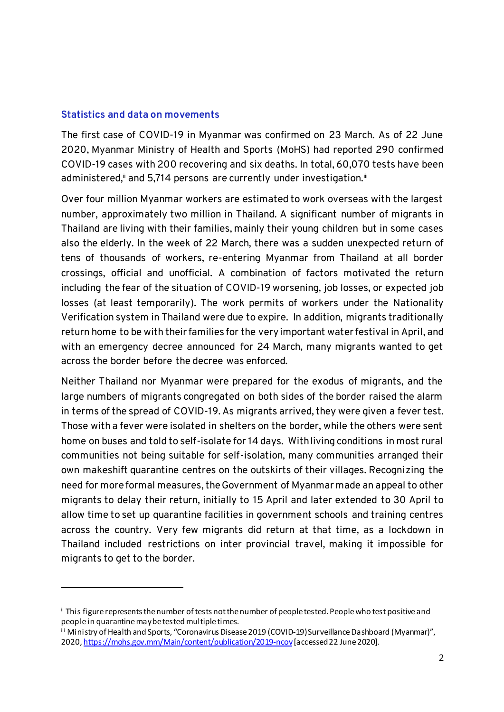# **Statistics and data on movements**

ĺ

The first case of COVID-19 in Myanmar was confirmed on 23 March. As of 22 June 2020, Myanmar Ministry of Health and Sports (MoHS) had reported 290 confirmed COVID-19 cases with 200 recovering and six deaths. In total, 60,070 tests have been administered,<sup>ii</sup> and 5,714 persons are currently under investigation.<sup>iii</sup>

Over four million Myanmar workers are estimated to work overseas with the largest number, approximately two million in Thailand. A significant number of migrants in Thailand are living with their families, mainly their young children but in some cases also the elderly. In the week of 22 March, there was a sudden unexpected return of tens of thousands of workers, re-entering Myanmar from Thailand at all border crossings, official and unofficial. A combination of factors motivated the return including the fear of the situation of COVID-19 worsening, job losses, or expected job losses (at least temporarily). The work permits of workers under the Nationality Verification system in Thailand were due to expire. In addition, migrants traditionally return home to be with their families for the very important water festival in April, and with an emergency decree announced for 24 March, many migrants wanted to get across the border before the decree was enforced.

Neither Thailand nor Myanmar were prepared for the exodus of migrants, and the large numbers of migrants congregated on both sides of the border raised the alarm in terms of the spread of COVID-19. As migrants arrived, they were given a fever test. Those with a fever were isolated in shelters on the border, while the others were sent home on buses and told to self-isolate for 14 days. With living conditions in most rural communities not being suitable for self-isolation, many communities arranged their own makeshift quarantine centres on the outskirts of their villages. Recognizing the need for more formal measures, the Government of Myanmar made an appeal to other migrants to delay their return, initially to 15 April and later extended to 30 April to allow time to set up quarantine facilities in government schools and training centres across the country. Very few migrants did return at that time, as a lockdown in Thailand included restrictions on inter provincial travel, making it impossible for migrants to get to the border.

ii This figure represents the number of tests not the number of people tested. People who test positive and people in quarantine may be tested multiple times.

iii Ministry of Health and Sports, "Coronavirus Disease 2019 (COVID-19) Surveillance Dashboard (Myanmar)", 2020[, https://mohs.gov.mm/Main/content/publication/2019-ncov](https://mohs.gov.mm/Main/content/publication/2019-ncov)[accessed 22 June 2020].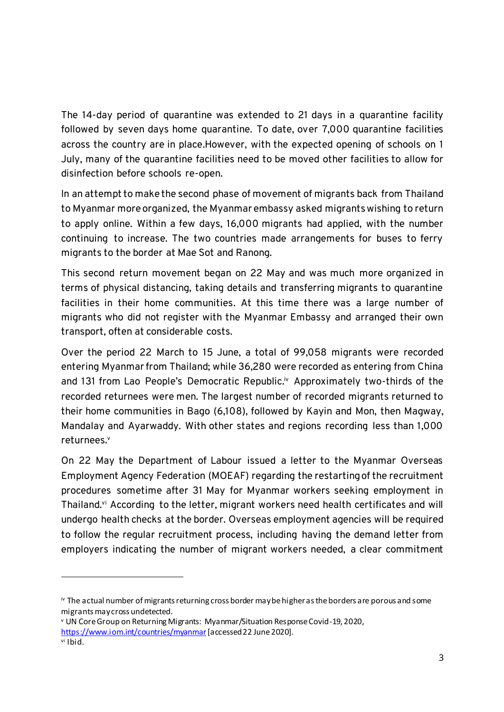The 14-day period of quarantine was extended to 21 days in a quarantine facility followed by seven days home quarantine. To date, over 7,000 quarantine facilities across the country are in place.However, with the expected opening of schools on 1 July, many of the quarantine facilities need to be moved other facilities to allow for disinfection before schools re-open.

In an attempt to make the second phase of movement of migrants back from Thailand to Myanmar more organized, the Myanmar embassy asked migrants wishing to return to apply online. Within a few days, 16,000 migrants had applied, with the number continuing to increase. The two countries made arrangements for buses to ferry migrants to the border at Mae Sot and Ranong.

This second return movement began on 22 May and was much more organized in terms of physical distancing, taking details and transferring migrants to quarantine facilities in their home communities. At this time there was a large number of migrants who did not register with the Myanmar Embassy and arranged their own transport, often at considerable costs.

Over the period 22 March to 15 June, a total of 99,058 migrants were recorded entering Myanmar from Thailand; while 36,280 were recorded as entering from China and 131 from Lao People's Democratic Republic.<sup>iv</sup> Approximately two-thirds of the recorded returnees were men. The largest number of recorded migrants returned to their home communities in Bago (6,108), followed by Kayin and Mon, then Magway, Mandalay and Ayarwaddy. With other states and regions recording less than 1,000 returnees.<sup>v</sup>

On 22 May the Department of Labour issued a letter to the Myanmar Overseas Employment Agency Federation (MOEAF) regarding the restarting of the recruitment procedures sometime after 31 May for Myanmar workers seeking employment in Thailand.<sup>vi</sup> According to the letter, migrant workers need health certificates and will undergo health checks at the border. Overseas employment agencies will be required to follow the regular recruitment process, including having the demand letter from employers indicating the number of migrant workers needed, a clear commitment

j

iv The actual number of migrants returning cross border may be higher as the borders are porous and some migrants may cross undetected.

<sup>v</sup> UN Core Group on Returning Migrants: Myanmar/Situation Response Covid-19, 2020, <https://www.iom.int/countries/myanmar> [accessed 22 June 2020].

vi Ibid.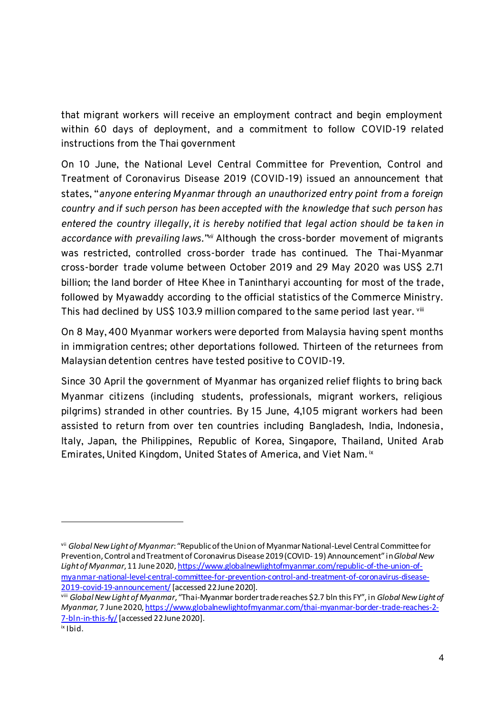that migrant workers will receive an employment contract and begin employment within 60 days of deployment, and a commitment to follow COVID-19 related instructions from the Thai government

On 10 June, the National Level Central Committee for Prevention, Control and Treatment of Coronavirus Disease 2019 (COVID-19) issued an announcement that states, "*anyone entering Myanmar through an unauthorized entry point from a foreign country and if such person has been accepted with the knowledge that such person has entered the country illegally, it is hereby notified that legal action should be taken in*  accordance with prevailing laws.<sup>" wii</sup> Although the cross-border movement of migrants was restricted, controlled cross-border trade has continued. The Thai-Myanmar cross-border trade volume between October 2019 and 29 May 2020 was US\$ 2.71 billion; the land border of Htee Khee in Tanintharyi accounting for most of the trade, followed by Myawaddy according to the official statistics of the Commerce Ministry. This had declined by US\$ 103.9 million compared to the same period last year. viii

On 8 May, 400 Myanmar workers were deported from Malaysia having spent months in immigration centres; other deportations followed. Thirteen of the returnees from Malaysian detention centres have tested positive to COVID-19.

Since 30 April the government of Myanmar has organized relief flights to bring back Myanmar citizens (including students, professionals, migrant workers, religious pilgrims) stranded in other countries. By 15 June, 4,105 migrant workers had been assisted to return from over ten countries including Bangladesh, India, Indonesia, Italy, Japan, the Philippines, Republic of Korea, Singapore, Thailand, United Arab Emirates, United Kingdom, United States of America, and Viet Nam.  ${}^{\mathrm{ix}}$ 

j

vii *Global New Light of Myanmar*: "Republic of the Union of Myanmar National-Level Central Committee for Prevention, Control and Treatment of Coronavirus Disease 2019 (COVID- 19) Announcement" in *Global New Light of Myanmar*, 11 June 202[0, https://www.globalnewlightofmyanmar.com/republic-of-the-union-of](https://www.globalnewlightofmyanmar.com/republic-of-the-union-of-myanmar-national-level-central-committee-for-prevention-control-and-treatment-of-coronavirus-disease-2019-covid-19-announcement/)[myanmar-national-level-central-committee-for-prevention-control-and-treatment-of-coronavirus-disease-](https://www.globalnewlightofmyanmar.com/republic-of-the-union-of-myanmar-national-level-central-committee-for-prevention-control-and-treatment-of-coronavirus-disease-2019-covid-19-announcement/)[2019-covid-19-announcement/](https://www.globalnewlightofmyanmar.com/republic-of-the-union-of-myanmar-national-level-central-committee-for-prevention-control-and-treatment-of-coronavirus-disease-2019-covid-19-announcement/)[accessed 22 June 2020].

viii *Global New Light of Myanmar*, "Thai-Myanmar border trade reaches \$2.7 bln this FY", in *Global New Light of Myanmar,* 7 June 2020[, https://www.globalnewlightofmyanmar.com/thai-myanmar-border-trade-reaches-2-](https://www.globalnewlightofmyanmar.com/thai-myanmar-border-trade-reaches-2-7-bln-in-this-fy/) [7-bln-in-this-fy/](https://www.globalnewlightofmyanmar.com/thai-myanmar-border-trade-reaches-2-7-bln-in-this-fy/)[accessed 22 June 2020].

ix Ibid.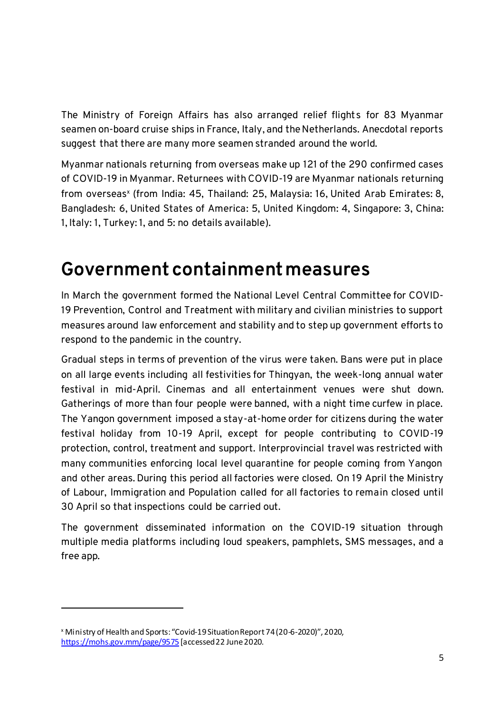The Ministry of Foreign Affairs has also arranged relief flights for 83 Myanmar seamen on-board cruise ships in France, Italy, and the Netherlands. Anecdotal reports suggest that there are many more seamen stranded around the world.

Myanmar nationals returning from overseas make up 121 of the 290 confirmed cases of COVID-19 in Myanmar. Returnees with COVID-19 are Myanmar nationals returning from overseas<sup>x</sup> (from India: 45, Thailand: 25, Malaysia: 16, United Arab Emirates: 8, Bangladesh: 6, United States of America: 5, United Kingdom: 4, Singapore: 3, China: 1, Italy: 1, Turkey: 1, and 5: no details available).

# **Government containment measures**

In March the government formed the National Level Central Committee for COVID-19 Prevention, Control and Treatment with military and civilian ministries to support measures around law enforcement and stability and to step up government efforts to respond to the pandemic in the country.

Gradual steps in terms of prevention of the virus were taken. Bans were put in place on all large events including all festivities for Thingyan, the week-long annual water festival in mid-April. Cinemas and all entertainment venues were shut down. Gatherings of more than four people were banned, with a night time curfew in place. The Yangon government imposed a stay-at-home order for citizens during the water festival holiday from 10-19 April, except for people contributing to COVID-19 protection, control, treatment and support. Interprovincial travel was restricted with many communities enforcing local level quarantine for people coming from Yangon and other areas. During this period all factories were closed. On 19 April the Ministry of Labour, Immigration and Population called for all factories to remain closed until 30 April so that inspections could be carried out.

The government disseminated information on the COVID-19 situation through multiple media platforms including loud speakers, pamphlets, SMS messages, and a free app.

ĺ

<sup>x</sup> Ministry of Health and Sports: "Covid-19 Situation Report 74 (20-6-2020)", 2020, <https://mohs.gov.mm/page/9575> [accessed 22 June 2020.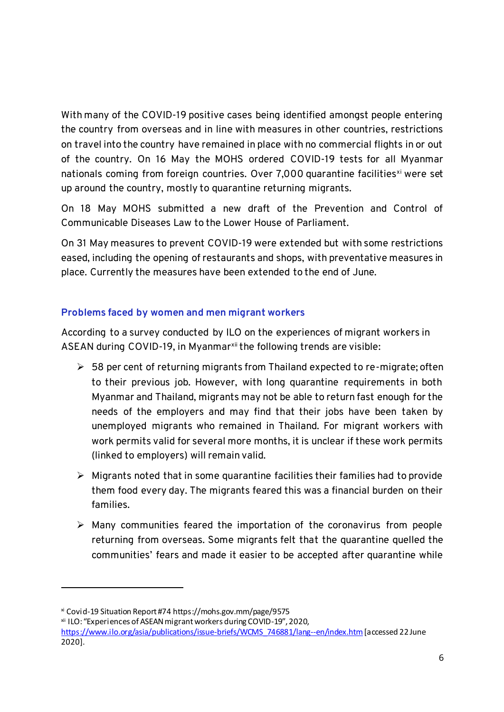With many of the COVID-19 positive cases being identified amongst people entering the country from overseas and in line with measures in other countries, restrictions on travel into the country have remained in place with no commercial flights in or out of the country. On 16 May the MOHS ordered COVID-19 tests for all Myanmar nationals coming from foreign countries. Over 7,000 quarantine facilities<sup>xi</sup> were set up around the country, mostly to quarantine returning migrants.

On 18 May MOHS submitted a new draft of the Prevention and Control of Communicable Diseases Law to the Lower House of Parliament.

On 31 May measures to prevent COVID-19 were extended but with some restrictions eased, including the opening of restaurants and shops, with preventative measures in place. Currently the measures have been extended to the end of June.

# **Problems faced by women and men migrant workers**

According to a survey conducted by ILO on the experiences of migrant workers in ASEAN during COVID-19, in Myanmar<sup>xii</sup> the following trends are visible:

- $>$  58 per cent of returning migrants from Thailand expected to re-migrate; often to their previous job. However, with long quarantine requirements in both Myanmar and Thailand, migrants may not be able to return fast enough for the needs of the employers and may find that their jobs have been taken by unemployed migrants who remained in Thailand. For migrant workers with work permits valid for several more months, it is unclear if these work permits (linked to employers) will remain valid.
- $\triangleright$  Migrants noted that in some quarantine facilities their families had to provide them food every day. The migrants feared this was a financial burden on their families.
- $\triangleright$  Many communities feared the importation of the coronavirus from people returning from overseas. Some migrants felt that the quarantine quelled the communities' fears and made it easier to be accepted after quarantine while

ĺ

xi Covid-19 Situation Report #74 https://mohs.gov.mm/page/9575

xii ILO: "Experiences of ASEAN migrant workers during COVID-19", 2020,

[https://www.ilo.org/asia/publications/issue-briefs/WCMS\\_746881/lang--en/index.htm](https://www.ilo.org/asia/publications/issue-briefs/WCMS_746881/lang--en/index.htm) [accessed 22 June 2020].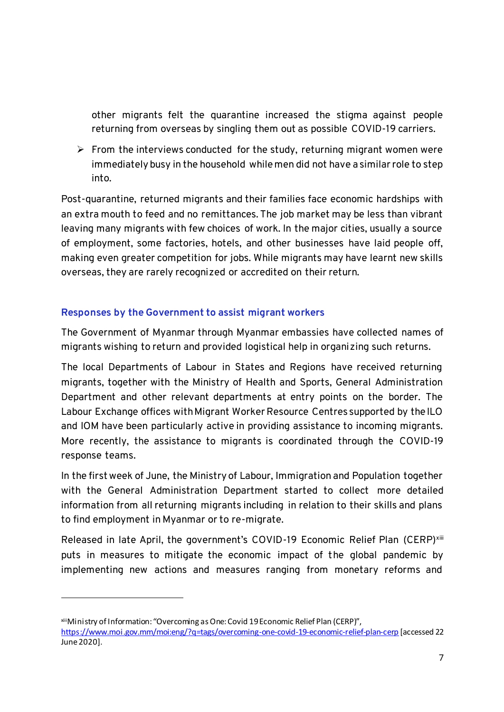other migrants felt the quarantine increased the stigma against people returning from overseas by singling them out as possible COVID-19 carriers.

 $\triangleright$  From the interviews conducted for the study, returning migrant women were immediately busy in the household while men did not have a similar role to step into.

Post-quarantine, returned migrants and their families face economic hardships with an extra mouth to feed and no remittances. The job market may be less than vibrant leaving many migrants with few choices of work. In the major cities, usually a source of employment, some factories, hotels, and other businesses have laid people off, making even greater competition for jobs. While migrants may have learnt new skills overseas, they are rarely recognized or accredited on their return.

# **Responses by the Government to assist migrant workers**

ĺ

The Government of Myanmar through Myanmar embassies have collected names of migrants wishing to return and provided logistical help in organizing such returns.

The local Departments of Labour in States and Regions have received returning migrants, together with the Ministry of Health and Sports, General Administration Department and other relevant departments at entry points on the border. The Labour Exchange offices with Migrant Worker Resource Centres supported by the ILO and IOM have been particularly active in providing assistance to incoming migrants. More recently, the assistance to migrants is coordinated through the COVID-19 response teams.

In the first week of June, the Ministry of Labour, Immigration and Population together with the General Administration Department started to collect more detailed information from all returning migrants including in relation to their skills and plans to find employment in Myanmar or to re-migrate.

Released in late April, the government's COVID-19 Economic Relief Plan (CERP)<sup>xiii</sup> puts in measures to mitigate the economic impact of the global pandemic by implementing new actions and measures ranging from monetary reforms and

xiiiMinistry of Information: "Overcoming as One: Covid 19 Economic Relief Plan (CERP)", <https://www.moi.gov.mm/moi:eng/?q=tags/overcoming-one-covid-19-economic-relief-plan-cerp> [accessed 22 June 2020].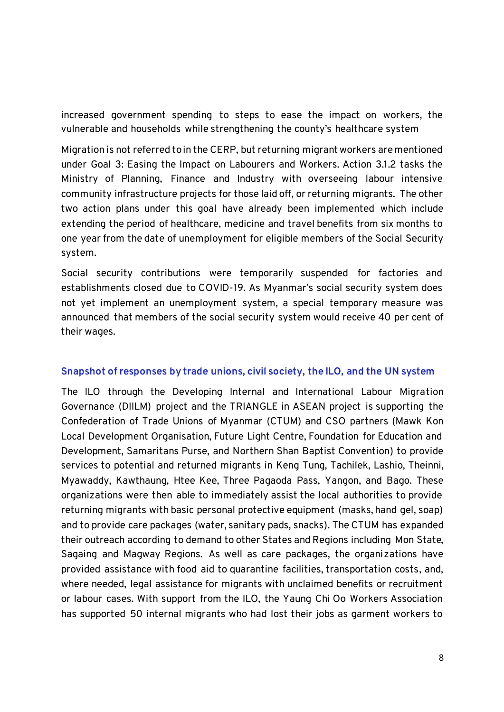increased government spending to steps to ease the impact on workers, the vulnerable and households while strengthening the county's healthcare system

Migration is not referred to in the CERP, but returning migrant workers are mentioned under Goal 3: Easing the Impact on Labourers and Workers. Action 3.1.2 tasks the Ministry of Planning, Finance and Industry with overseeing labour intensive community infrastructure projects for those laid off, or returning migrants. The other two action plans under this goal have already been implemented which include extending the period of healthcare, medicine and travel benefits from six months to one year from the date of unemployment for eligible members of the Social Security system.

Social security contributions were temporarily suspended for factories and establishments closed due to COVID-19. As Myanmar's social security system does not yet implement an unemployment system, a special temporary measure was announced that members of the social security system would receive 40 per cent of their wages.

#### **Snapshot of responses by trade unions, civil society, the ILO, and the UN system**

The ILO through the Developing Internal and International Labour Migration Governance (DIILM) project and the TRIANGLE in ASEAN project is supporting the Confederation of Trade Unions of Myanmar (CTUM) and CSO partners (Mawk Kon Local Development Organisation, Future Light Centre, Foundation for Education and Development, Samaritans Purse, and Northern Shan Baptist Convention) to provide services to potential and returned migrants in Keng Tung, Tachilek, Lashio, Theinni, Myawaddy, Kawthaung, Htee Kee, Three Pagaoda Pass, Yangon, and Bago. These organizations were then able to immediately assist the local authorities to provide returning migrants with basic personal protective equipment (masks, hand gel, soap) and to provide care packages (water, sanitary pads, snacks). The CTUM has expanded their outreach according to demand to other States and Regions including Mon State, Sagaing and Magway Regions. As well as care packages, the organizations have provided assistance with food aid to quarantine facilities, transportation costs, and, where needed, legal assistance for migrants with unclaimed benefits or recruitment or labour cases. With support from the ILO, the Yaung Chi Oo Workers Association has supported 50 internal migrants who had lost their jobs as garment workers to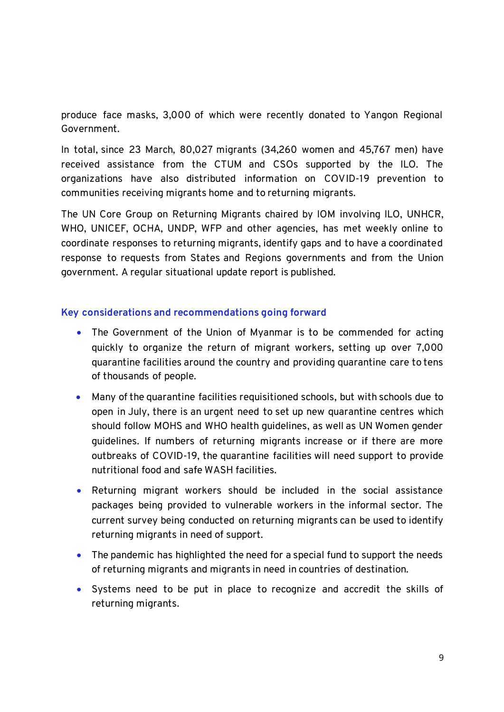produce face masks, 3,000 of which were recently donated to Yangon Regional Government.

In total, since 23 March, 80,027 migrants (34,260 women and 45,767 men) have received assistance from the CTUM and CSOs supported by the ILO. The organizations have also distributed information on COVID-19 prevention to communities receiving migrants home and to returning migrants.

The UN Core Group on Returning Migrants chaired by IOM involving ILO, UNHCR, WHO, UNICEF, OCHA, UNDP, WFP and other agencies, has met weekly online to coordinate responses to returning migrants, identify gaps and to have a coordinated response to requests from States and Regions governments and from the Union government. A regular situational update report is published.

#### **Key considerations and recommendations going forward**

- The Government of the Union of Myanmar is to be commended for acting quickly to organize the return of migrant workers, setting up over 7,000 quarantine facilities around the country and providing quarantine care to tens of thousands of people.
- Many of the quarantine facilities requisitioned schools, but with schools due to open in July, there is an urgent need to set up new quarantine centres which should follow MOHS and WHO health guidelines, as well as UN Women gender guidelines. If numbers of returning migrants increase or if there are more outbreaks of COVID-19, the quarantine facilities will need support to provide nutritional food and safe WASH facilities.
- Returning migrant workers should be included in the social assistance packages being provided to vulnerable workers in the informal sector. The current survey being conducted on returning migrants can be used to identify returning migrants in need of support.
- The pandemic has highlighted the need for a special fund to support the needs of returning migrants and migrants in need in countries of destination.
- Systems need to be put in place to recognize and accredit the skills of returning migrants.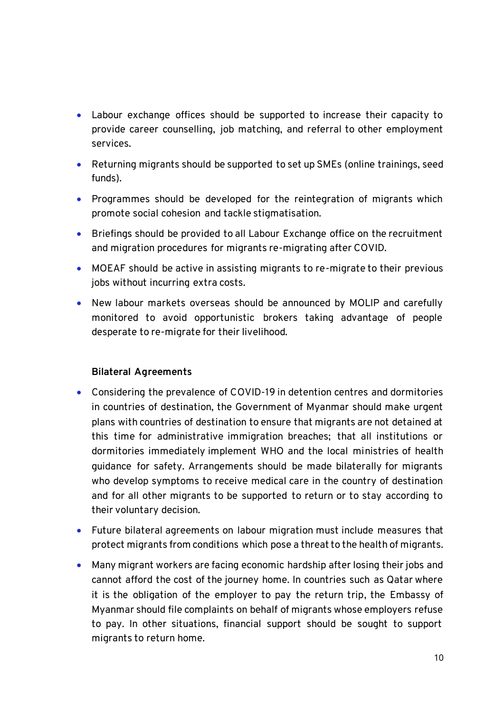- Labour exchange offices should be supported to increase their capacity to provide career counselling, job matching, and referral to other employment services.
- Returning migrants should be supported to set up SMEs (online trainings, seed funds).
- Programmes should be developed for the reintegration of migrants which promote social cohesion and tackle stigmatisation.
- Briefings should be provided to all Labour Exchange office on the recruitment and migration procedures for migrants re-migrating after COVID.
- MOEAF should be active in assisting migrants to re-migrate to their previous jobs without incurring extra costs.
- New labour markets overseas should be announced by MOLIP and carefully monitored to avoid opportunistic brokers taking advantage of people desperate to re-migrate for their livelihood.

# **Bilateral Agreements**

- Considering the prevalence of COVID-19 in detention centres and dormitories in countries of destination, the Government of Myanmar should make urgent plans with countries of destination to ensure that migrants are not detained at this time for administrative immigration breaches; that all institutions or dormitories immediately implement WHO and the local ministries of health guidance for safety. Arrangements should be made bilaterally for migrants who develop symptoms to receive medical care in the country of destination and for all other migrants to be supported to return or to stay according to their voluntary decision.
- Future bilateral agreements on labour migration must include measures that protect migrants from conditions which pose a threat to the health of migrants.
- Many migrant workers are facing economic hardship after losing their jobs and cannot afford the cost of the journey home. In countries such as Qatar where it is the obligation of the employer to pay the return trip, the Embassy of Myanmar should file complaints on behalf of migrants whose employers refuse to pay. In other situations, financial support should be sought to support migrants to return home.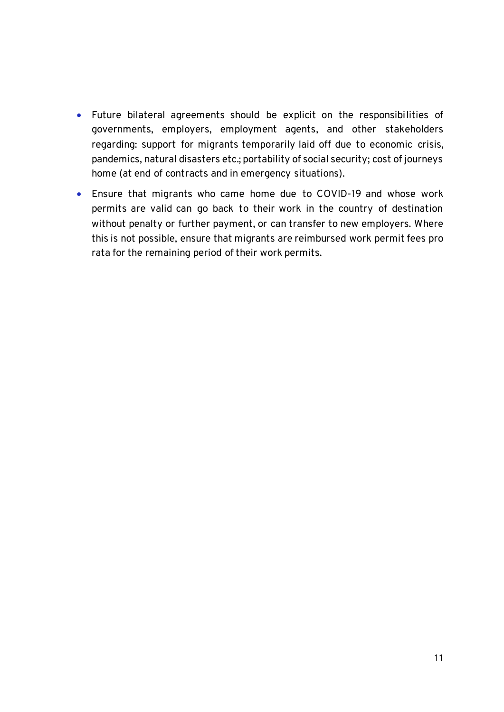- Future bilateral agreements should be explicit on the responsibilities of governments, employers, employment agents, and other stakeholders regarding: support for migrants temporarily laid off due to economic crisis, pandemics, natural disasters etc.; portability of social security; cost of journeys home (at end of contracts and in emergency situations).
- Ensure that migrants who came home due to COVID-19 and whose work permits are valid can go back to their work in the country of destination without penalty or further payment, or can transfer to new employers. Where this is not possible, ensure that migrants are reimbursed work permit fees pro rata for the remaining period of their work permits.